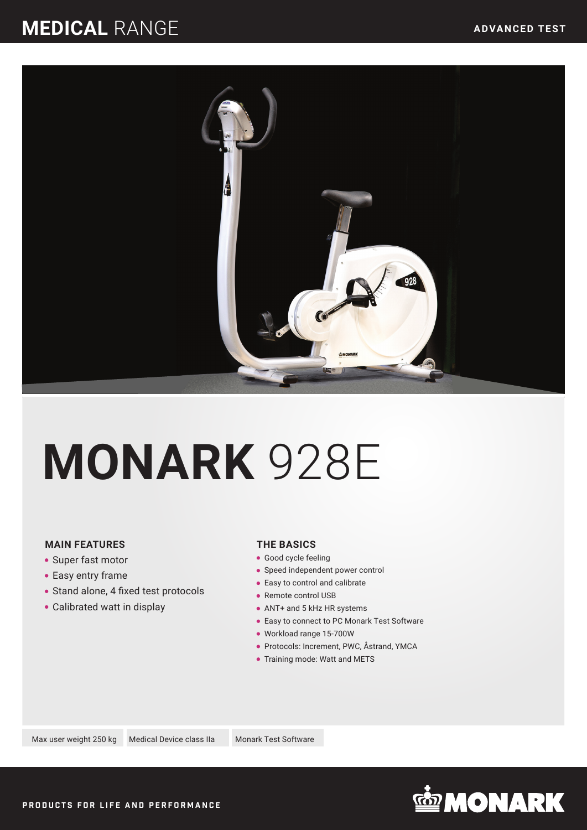### **MEDICAL** RANGE



# **MONARK** 928E

#### **MAIN FEATURES**

- Super fast motor
- Easy entry frame
- Stand alone, 4 fixed test protocols
- Calibrated watt in display

#### **THE BASICS**

- **Good cycle feeling**
- Speed independent power control
- Easy to control and calibrate
- Remote control USB
- ANT+ and 5 kHz HR systems
- Easy to connect to PC Monark Test Software
- Workload range 15-700W
- Protocols: Increment, PWC, Åstrand, YMCA
- Training mode: Watt and METS

Max user weight 250 kg Medical Device class IIa Monark Test Software